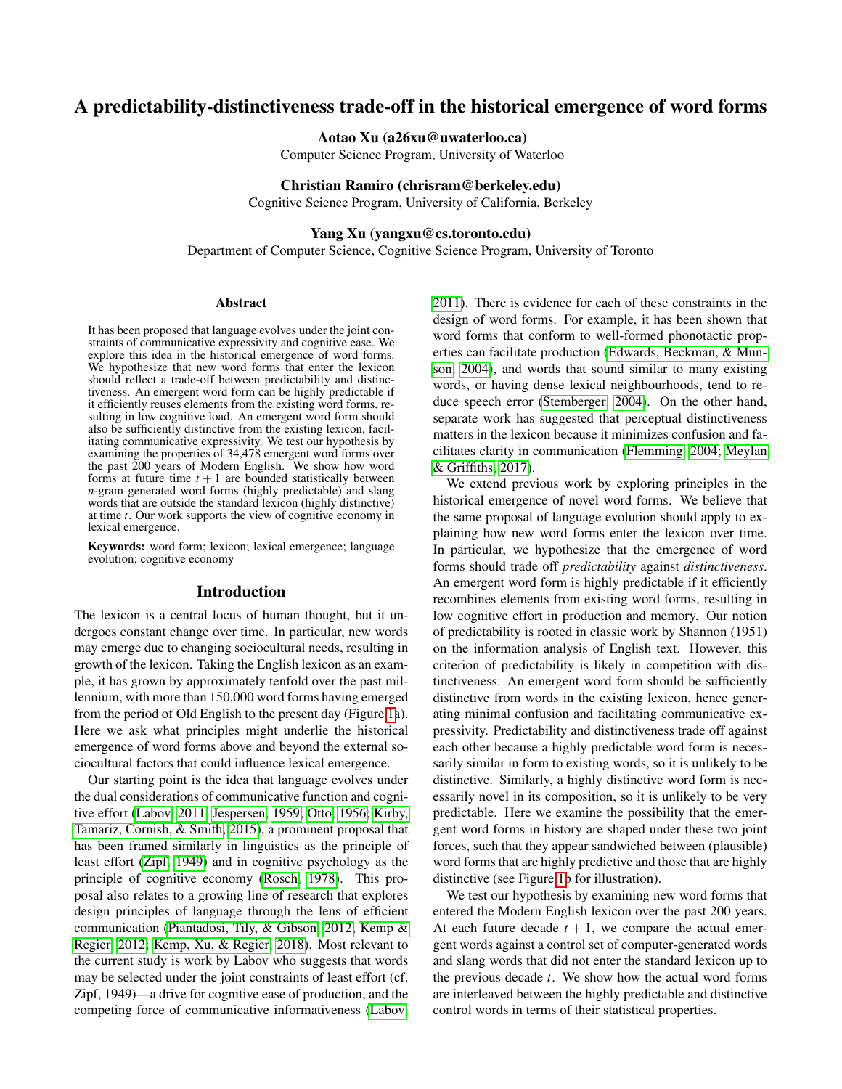# A predictability-distinctiveness trade-off in the historical emergence of word forms

Aotao Xu (a26xu@uwaterloo.ca)

Computer Science Program, University of Waterloo

### Christian Ramiro (chrisram@berkeley.edu)

Cognitive Science Program, University of California, Berkeley

## Yang Xu (yangxu@cs.toronto.edu)

Department of Computer Science, Cognitive Science Program, University of Toronto

### Abstract

It has been proposed that language evolves under the joint constraints of communicative expressivity and cognitive ease. We explore this idea in the historical emergence of word forms. We hypothesize that new word forms that enter the lexicon should reflect a trade-off between predictability and distinctiveness. An emergent word form can be highly predictable if it efficiently reuses elements from the existing word forms, resulting in low cognitive load. An emergent word form should also be sufficiently distinctive from the existing lexicon, facilitating communicative expressivity. We test our hypothesis by examining the properties of 34,478 emergent word forms over the past 200 years of Modern English. We show how word forms at future time  $t + 1$  are bounded statistically between *n*-gram generated word forms (highly predictable) and slang words that are outside the standard lexicon (highly distinctive) at time *t*. Our work supports the view of cognitive economy in lexical emergence.

Keywords: word form; lexicon; lexical emergence; language evolution; cognitive economy

## Introduction

The lexicon is a central locus of human thought, but it undergoes constant change over time. In particular, new words may emerge due to changing sociocultural needs, resulting in growth of the lexicon. Taking the English lexicon as an example, it has grown by approximately tenfold over the past millennium, with more than 150,000 word forms having emerged from the period of Old English to the present day (Figure [1a](#page-1-0)). Here we ask what principles might underlie the historical emergence of word forms above and beyond the external sociocultural factors that could influence lexical emergence.

Our starting point is the idea that language evolves under the dual considerations of communicative function and cognitive effort [\(Labov, 2011;](#page-5-0) [Jespersen, 1959;](#page-5-1) [Otto, 1956;](#page-5-2) [Kirby,](#page-5-3) [Tamariz, Cornish, & Smith, 2015\)](#page-5-3), a prominent proposal that has been framed similarly in linguistics as the principle of least effort [\(Zipf, 1949\)](#page-5-4) and in cognitive psychology as the principle of cognitive economy [\(Rosch, 1978\)](#page-5-5). This proposal also relates to a growing line of research that explores design principles of language through the lens of efficient communication [\(Piantadosi, Tily, & Gibson, 2012;](#page-5-6) [Kemp &](#page-5-7) [Regier, 2012;](#page-5-7) [Kemp, Xu, & Regier, 2018\)](#page-5-8). Most relevant to the current study is work by Labov who suggests that words may be selected under the joint constraints of least effort (cf. Zipf, 1949)—a drive for cognitive ease of production, and the competing force of communicative informativeness [\(Labov,](#page-5-0) [2011\)](#page-5-0). There is evidence for each of these constraints in the design of word forms. For example, it has been shown that word forms that conform to well-formed phonotactic properties can facilitate production [\(Edwards, Beckman, & Mun](#page-5-9)[son, 2004\)](#page-5-9), and words that sound similar to many existing words, or having dense lexical neighbourhoods, tend to reduce speech error [\(Stemberger, 2004\)](#page-5-10). On the other hand, separate work has suggested that perceptual distinctiveness matters in the lexicon because it minimizes confusion and facilitates clarity in communication [\(Flemming, 2004;](#page-5-11) [Meylan](#page-5-12) [& Griffiths, 2017\)](#page-5-12).

We extend previous work by exploring principles in the historical emergence of novel word forms. We believe that the same proposal of language evolution should apply to explaining how new word forms enter the lexicon over time. In particular, we hypothesize that the emergence of word forms should trade off *predictability* against *distinctiveness*. An emergent word form is highly predictable if it efficiently recombines elements from existing word forms, resulting in low cognitive effort in production and memory. Our notion of predictability is rooted in classic work by Shannon (1951) on the information analysis of English text. However, this criterion of predictability is likely in competition with distinctiveness: An emergent word form should be sufficiently distinctive from words in the existing lexicon, hence generating minimal confusion and facilitating communicative expressivity. Predictability and distinctiveness trade off against each other because a highly predictable word form is necessarily similar in form to existing words, so it is unlikely to be distinctive. Similarly, a highly distinctive word form is necessarily novel in its composition, so it is unlikely to be very predictable. Here we examine the possibility that the emergent word forms in history are shaped under these two joint forces, such that they appear sandwiched between (plausible) word forms that are highly predictive and those that are highly distinctive (see Figure [1b](#page-1-0) for illustration).

We test our hypothesis by examining new word forms that entered the Modern English lexicon over the past 200 years. At each future decade  $t + 1$ , we compare the actual emergent words against a control set of computer-generated words and slang words that did not enter the standard lexicon up to the previous decade *t*. We show how the actual word forms are interleaved between the highly predictable and distinctive control words in terms of their statistical properties.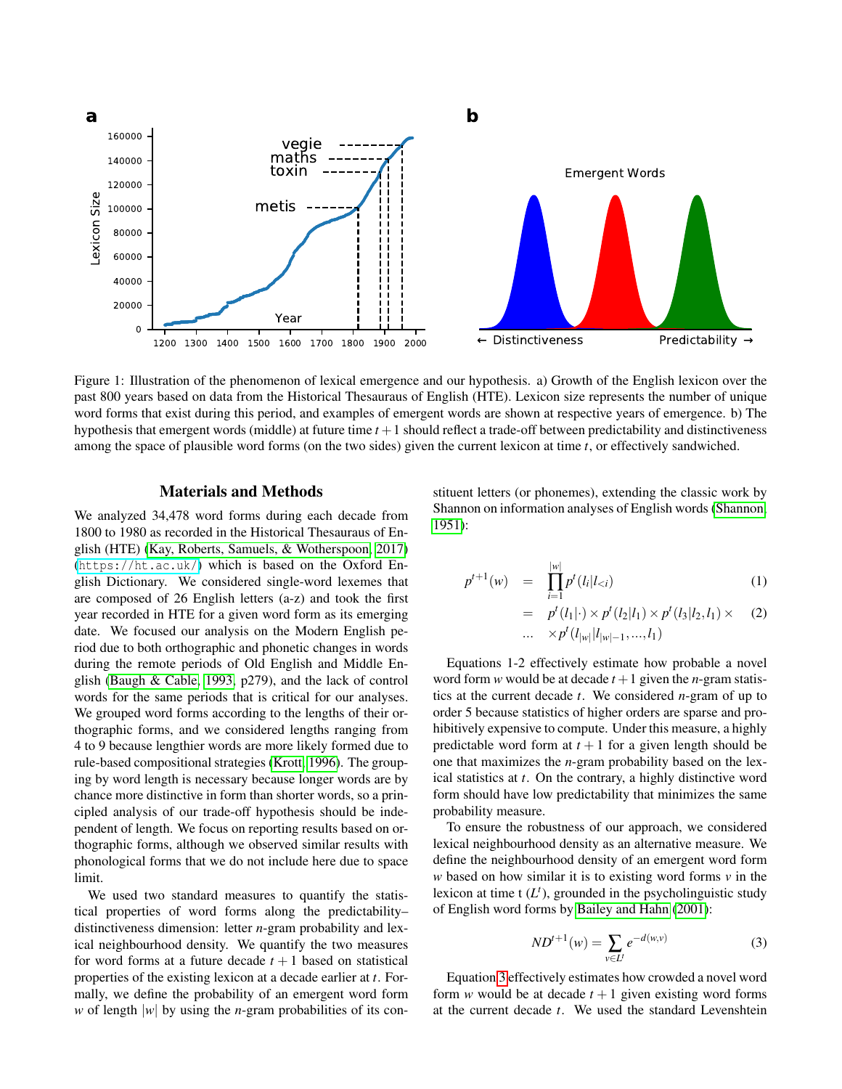<span id="page-1-0"></span>

Figure 1: Illustration of the phenomenon of lexical emergence and our hypothesis. a) Growth of the English lexicon over the past 800 years based on data from the Historical Thesauraus of English (HTE). Lexicon size represents the number of unique word forms that exist during this period, and examples of emergent words are shown at respective years of emergence. b) The hypothesis that emergent words (middle) at future time *t* +1 should reflect a trade-off between predictability and distinctiveness among the space of plausible word forms (on the two sides) given the current lexicon at time *t*, or effectively sandwiched.

## Materials and Methods

We analyzed 34,478 word forms during each decade from 1800 to 1980 as recorded in the Historical Thesauraus of English (HTE) [\(Kay, Roberts, Samuels, & Wotherspoon, 2017\)](#page-5-13) (<https://ht.ac.uk/>) which is based on the Oxford English Dictionary. We considered single-word lexemes that are composed of 26 English letters (a-z) and took the first year recorded in HTE for a given word form as its emerging date. We focused our analysis on the Modern English period due to both orthographic and phonetic changes in words during the remote periods of Old English and Middle English [\(Baugh & Cable, 1993,](#page-5-14) p279), and the lack of control words for the same periods that is critical for our analyses. We grouped word forms according to the lengths of their orthographic forms, and we considered lengths ranging from 4 to 9 because lengthier words are more likely formed due to rule-based compositional strategies [\(Krott, 1996\)](#page-5-15). The grouping by word length is necessary because longer words are by chance more distinctive in form than shorter words, so a principled analysis of our trade-off hypothesis should be independent of length. We focus on reporting results based on orthographic forms, although we observed similar results with phonological forms that we do not include here due to space limit.

We used two standard measures to quantify the statistical properties of word forms along the predictability– distinctiveness dimension: letter *n*-gram probability and lexical neighbourhood density. We quantify the two measures for word forms at a future decade  $t + 1$  based on statistical properties of the existing lexicon at a decade earlier at *t*. Formally, we define the probability of an emergent word form *w* of length |*w*| by using the *n*-gram probabilities of its constituent letters (or phonemes), extending the classic work by Shannon on information analyses of English words [\(Shannon,](#page-5-16) [1951\)](#page-5-16):

$$
p^{t+1}(w) = \prod_{i=1}^{|w|} p^t(l_i|l_{
$$

= 
$$
p^{t}(l_1|\cdot) \times p^{t}(l_2|l_1) \times p^{t}(l_3|l_2, l_1) \times
$$
 (2)  
...  $\times p^{t}(l_{|w|}|l_{|w|-1},...,l_1)$ 

Equations 1-2 effectively estimate how probable a novel word form *w* would be at decade  $t + 1$  given the *n*-gram statistics at the current decade *t*. We considered *n*-gram of up to order 5 because statistics of higher orders are sparse and prohibitively expensive to compute. Under this measure, a highly predictable word form at  $t + 1$  for a given length should be one that maximizes the *n*-gram probability based on the lexical statistics at *t*. On the contrary, a highly distinctive word form should have low predictability that minimizes the same probability measure.

To ensure the robustness of our approach, we considered lexical neighbourhood density as an alternative measure. We define the neighbourhood density of an emergent word form *w* based on how similar it is to existing word forms *v* in the lexicon at time  $t(L<sup>t</sup>)$ , grounded in the psycholinguistic study of English word forms by [Bailey and Hahn](#page-5-17) [\(2001\)](#page-5-17):

<span id="page-1-1"></span>
$$
ND^{t+1}(w) = \sum_{v \in L^t} e^{-d(w,v)} \tag{3}
$$

Equation [3](#page-1-1) effectively estimates how crowded a novel word form *w* would be at decade  $t + 1$  given existing word forms at the current decade *t*. We used the standard Levenshtein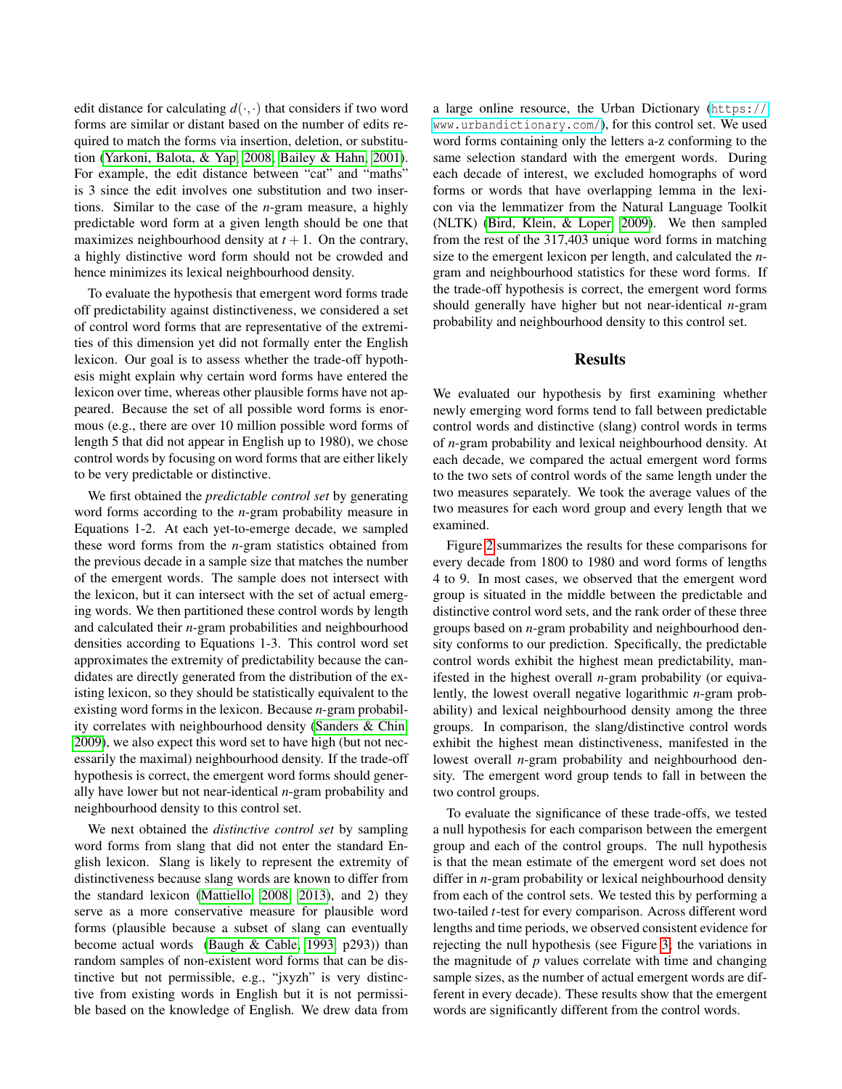edit distance for calculating  $d(\cdot, \cdot)$  that considers if two word forms are similar or distant based on the number of edits required to match the forms via insertion, deletion, or substitution [\(Yarkoni, Balota, & Yap, 2008;](#page-5-18) [Bailey & Hahn, 2001\)](#page-5-17). For example, the edit distance between "cat" and "maths" is 3 since the edit involves one substitution and two insertions. Similar to the case of the *n*-gram measure, a highly predictable word form at a given length should be one that maximizes neighbourhood density at  $t + 1$ . On the contrary, a highly distinctive word form should not be crowded and hence minimizes its lexical neighbourhood density.

To evaluate the hypothesis that emergent word forms trade off predictability against distinctiveness, we considered a set of control word forms that are representative of the extremities of this dimension yet did not formally enter the English lexicon. Our goal is to assess whether the trade-off hypothesis might explain why certain word forms have entered the lexicon over time, whereas other plausible forms have not appeared. Because the set of all possible word forms is enormous (e.g., there are over 10 million possible word forms of length 5 that did not appear in English up to 1980), we chose control words by focusing on word forms that are either likely to be very predictable or distinctive.

We first obtained the *predictable control set* by generating word forms according to the *n*-gram probability measure in Equations 1-2. At each yet-to-emerge decade, we sampled these word forms from the *n*-gram statistics obtained from the previous decade in a sample size that matches the number of the emergent words. The sample does not intersect with the lexicon, but it can intersect with the set of actual emerging words. We then partitioned these control words by length and calculated their *n*-gram probabilities and neighbourhood densities according to Equations 1-3. This control word set approximates the extremity of predictability because the candidates are directly generated from the distribution of the existing lexicon, so they should be statistically equivalent to the existing word forms in the lexicon. Because *n*-gram probability correlates with neighbourhood density [\(Sanders & Chin,](#page-5-19) [2009\)](#page-5-19), we also expect this word set to have high (but not necessarily the maximal) neighbourhood density. If the trade-off hypothesis is correct, the emergent word forms should generally have lower but not near-identical *n*-gram probability and neighbourhood density to this control set.

We next obtained the *distinctive control set* by sampling word forms from slang that did not enter the standard English lexicon. Slang is likely to represent the extremity of distinctiveness because slang words are known to differ from the standard lexicon [\(Mattiello, 2008,](#page-5-20) [2013\)](#page-5-21), and 2) they serve as a more conservative measure for plausible word forms (plausible because a subset of slang can eventually become actual words [\(Baugh & Cable, 1993,](#page-5-14) p293)) than random samples of non-existent word forms that can be distinctive but not permissible, e.g., "jxyzh" is very distinctive from existing words in English but it is not permissible based on the knowledge of English. We drew data from a large online resource, the Urban Dictionary ([https://](https://www.urbandictionary.com/) [www.urbandictionary.com/](https://www.urbandictionary.com/)), for this control set. We used word forms containing only the letters a-z conforming to the same selection standard with the emergent words. During each decade of interest, we excluded homographs of word forms or words that have overlapping lemma in the lexicon via the lemmatizer from the Natural Language Toolkit (NLTK) [\(Bird, Klein, & Loper, 2009\)](#page-5-22). We then sampled from the rest of the 317,403 unique word forms in matching size to the emergent lexicon per length, and calculated the *n*gram and neighbourhood statistics for these word forms. If the trade-off hypothesis is correct, the emergent word forms should generally have higher but not near-identical *n*-gram probability and neighbourhood density to this control set.

### Results

We evaluated our hypothesis by first examining whether newly emerging word forms tend to fall between predictable control words and distinctive (slang) control words in terms of *n*-gram probability and lexical neighbourhood density. At each decade, we compared the actual emergent word forms to the two sets of control words of the same length under the two measures separately. We took the average values of the two measures for each word group and every length that we examined.

Figure [2](#page-3-0) summarizes the results for these comparisons for every decade from 1800 to 1980 and word forms of lengths 4 to 9. In most cases, we observed that the emergent word group is situated in the middle between the predictable and distinctive control word sets, and the rank order of these three groups based on *n*-gram probability and neighbourhood density conforms to our prediction. Specifically, the predictable control words exhibit the highest mean predictability, manifested in the highest overall *n*-gram probability (or equivalently, the lowest overall negative logarithmic *n*-gram probability) and lexical neighbourhood density among the three groups. In comparison, the slang/distinctive control words exhibit the highest mean distinctiveness, manifested in the lowest overall *n*-gram probability and neighbourhood density. The emergent word group tends to fall in between the two control groups.

To evaluate the significance of these trade-offs, we tested a null hypothesis for each comparison between the emergent group and each of the control groups. The null hypothesis is that the mean estimate of the emergent word set does not differ in *n*-gram probability or lexical neighbourhood density from each of the control sets. We tested this by performing a two-tailed *t*-test for every comparison. Across different word lengths and time periods, we observed consistent evidence for rejecting the null hypothesis (see Figure [3;](#page-4-0) the variations in the magnitude of *p* values correlate with time and changing sample sizes, as the number of actual emergent words are different in every decade). These results show that the emergent words are significantly different from the control words.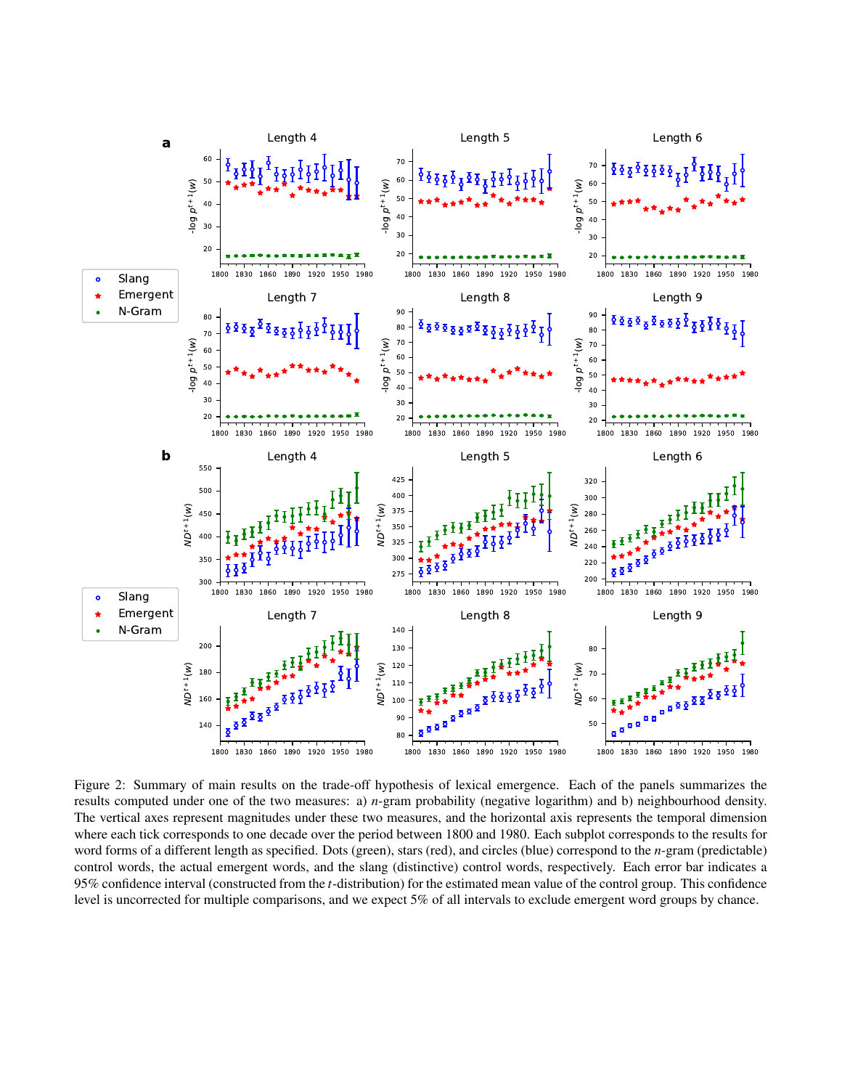<span id="page-3-0"></span>

Figure 2: Summary of main results on the trade-off hypothesis of lexical emergence. Each of the panels summarizes the results computed under one of the two measures: a) *n*-gram probability (negative logarithm) and b) neighbourhood density. The vertical axes represent magnitudes under these two measures, and the horizontal axis represents the temporal dimension where each tick corresponds to one decade over the period between 1800 and 1980. Each subplot corresponds to the results for word forms of a different length as specified. Dots (green), stars (red), and circles (blue) correspond to the *n*-gram (predictable) control words, the actual emergent words, and the slang (distinctive) control words, respectively. Each error bar indicates a 95% confidence interval (constructed from the *t*-distribution) for the estimated mean value of the control group. This confidence level is uncorrected for multiple comparisons, and we expect 5% of all intervals to exclude emergent word groups by chance.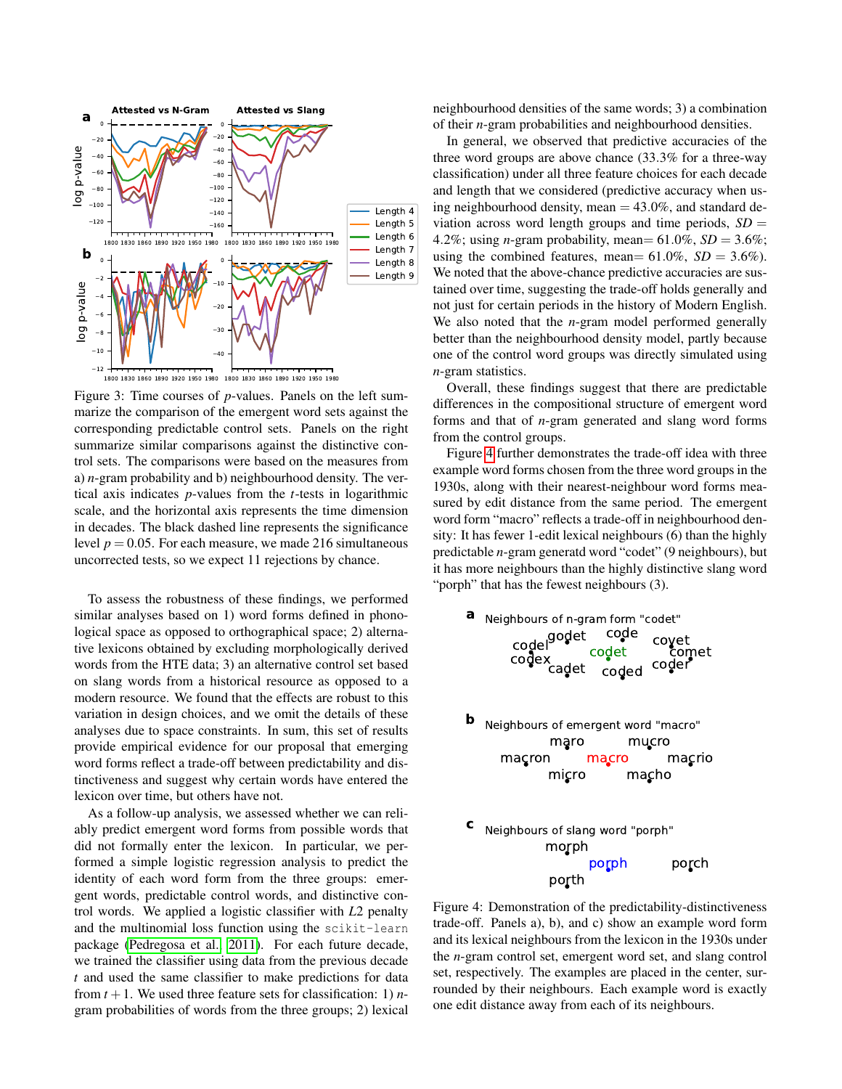<span id="page-4-0"></span>

Figure 3: Time courses of *p*-values. Panels on the left summarize the comparison of the emergent word sets against the corresponding predictable control sets. Panels on the right summarize similar comparisons against the distinctive control sets. The comparisons were based on the measures from a) *n*-gram probability and b) neighbourhood density. The vertical axis indicates *p*-values from the *t*-tests in logarithmic scale, and the horizontal axis represents the time dimension in decades. The black dashed line represents the significance level  $p = 0.05$ . For each measure, we made 216 simultaneous uncorrected tests, so we expect 11 rejections by chance.

To assess the robustness of these findings, we performed similar analyses based on 1) word forms defined in phonological space as opposed to orthographical space; 2) alternative lexicons obtained by excluding morphologically derived words from the HTE data; 3) an alternative control set based on slang words from a historical resource as opposed to a modern resource. We found that the effects are robust to this variation in design choices, and we omit the details of these analyses due to space constraints. In sum, this set of results provide empirical evidence for our proposal that emerging word forms reflect a trade-off between predictability and distinctiveness and suggest why certain words have entered the lexicon over time, but others have not.

As a follow-up analysis, we assessed whether we can reliably predict emergent word forms from possible words that did not formally enter the lexicon. In particular, we performed a simple logistic regression analysis to predict the identity of each word form from the three groups: emergent words, predictable control words, and distinctive control words. We applied a logistic classifier with *L*2 penalty and the multinomial loss function using the scikit-learn package [\(Pedregosa et al., 2011\)](#page-5-23). For each future decade, we trained the classifier using data from the previous decade *t* and used the same classifier to make predictions for data from  $t + 1$ . We used three feature sets for classification: 1) *n*gram probabilities of words from the three groups; 2) lexical neighbourhood densities of the same words; 3) a combination of their *n*-gram probabilities and neighbourhood densities.

In general, we observed that predictive accuracies of the three word groups are above chance (33.3% for a three-way classification) under all three feature choices for each decade and length that we considered (predictive accuracy when using neighbourhood density, mean  $= 43.0\%$ , and standard deviation across word length groups and time periods,  $SD =$ 4.2%; using *n*-gram probability, mean=  $61.0\%$ ,  $SD = 3.6\%$ ; using the combined features, mean=  $61.0\%$ ,  $SD = 3.6\%$ ). We noted that the above-chance predictive accuracies are sustained over time, suggesting the trade-off holds generally and not just for certain periods in the history of Modern English. We also noted that the *n*-gram model performed generally better than the neighbourhood density model, partly because one of the control word groups was directly simulated using *n*-gram statistics.

Overall, these findings suggest that there are predictable differences in the compositional structure of emergent word forms and that of *n*-gram generated and slang word forms from the control groups.

Figure [4](#page-4-1) further demonstrates the trade-off idea with three example word forms chosen from the three word groups in the 1930s, along with their nearest-neighbour word forms measured by edit distance from the same period. The emergent word form "macro" reflects a trade-off in neighbourhood density: It has fewer 1-edit lexical neighbours (6) than the highly predictable *n*-gram generatd word "codet" (9 neighbours), but it has more neighbours than the highly distinctive slang word "porph" that has the fewest neighbours (3).

<span id="page-4-1"></span>

Figure 4: Demonstration of the predictability-distinctiveness trade-off. Panels a), b), and c) show an example word form and its lexical neighbours from the lexicon in the 1930s under the *n*-gram control set, emergent word set, and slang control set, respectively. The examples are placed in the center, surrounded by their neighbours. Each example word is exactly one edit distance away from each of its neighbours.